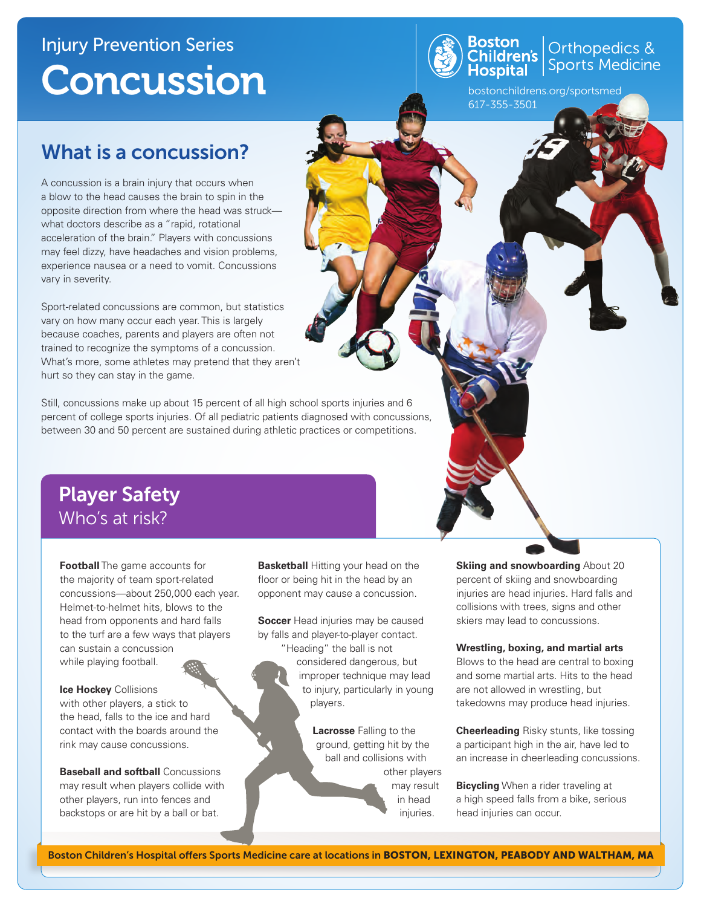## Injury Prevention Series Concussion



# **Boston**<br>Children's Orthopedics &<br>Hospital Sports Medicine

bostonchildrens.org/sportsmed 617-355-3501

### What is a concussion?

A concussion is a brain injury that occurs when a blow to the head causes the brain to spin in the opposite direction from where the head was struck what doctors describe as a "rapid, rotational acceleration of the brain." Players with concussions may feel dizzy, have headaches and vision problems, experience nausea or a need to vomit. Concussions vary in severity.

Sport-related concussions are common, but statistics vary on how many occur each year. This is largely because coaches, parents and players are often not trained to recognize the symptoms of a concussion. What's more, some athletes may pretend that they aren't hurt so they can stay in the game.

Still, concussions make up about 15 percent of all high school sports injuries and 6 percent of college sports injuries. Of all pediatric patients diagnosed with concussions, between 30 and 50 percent are sustained during athletic practices or competitions.

### Player Safety Who's at risk?

**Football** The game accounts for the majority of team sport-related concussions—about 250,000 each year. Helmet-to-helmet hits, blows to the head from opponents and hard falls to the turf are a few ways that players can sustain a concussion while playing football.

**Ice Hockey** Collisions with other players, a stick to the head, falls to the ice and hard contact with the boards around the rink may cause concussions.

**Baseball and softball** Concussions may result when players collide with other players, run into fences and backstops or are hit by a ball or bat.

**Basketball** Hitting your head on the floor or being hit in the head by an opponent may cause a concussion.

**Soccer** Head injuries may be caused by falls and player-to-player contact.

"Heading" the ball is not considered dangerous, but improper technique may lead to injury, particularly in young players.

> **Lacrosse** Falling to the ground, getting hit by the ball and collisions with other players may result in head injuries.

**Skiing and snowboarding About 20** percent of skiing and snowboarding injuries are head injuries. Hard falls and collisions with trees, signs and other skiers may lead to concussions.

#### **Wrestling, boxing, and martial arts**

Blows to the head are central to boxing and some martial arts. Hits to the head are not allowed in wrestling, but takedowns may produce head injuries.

**Cheerleading** Risky stunts, like tossing a participant high in the air, have led to an increase in cheerleading concussions.

**Bicycling** When a rider traveling at a high speed falls from a bike, serious head injuries can occur.

Boston Children's Hospital offers Sports Medicine care at locations in BOSTON, LEXINGTON, PEABODY AND WALTHAM, MA